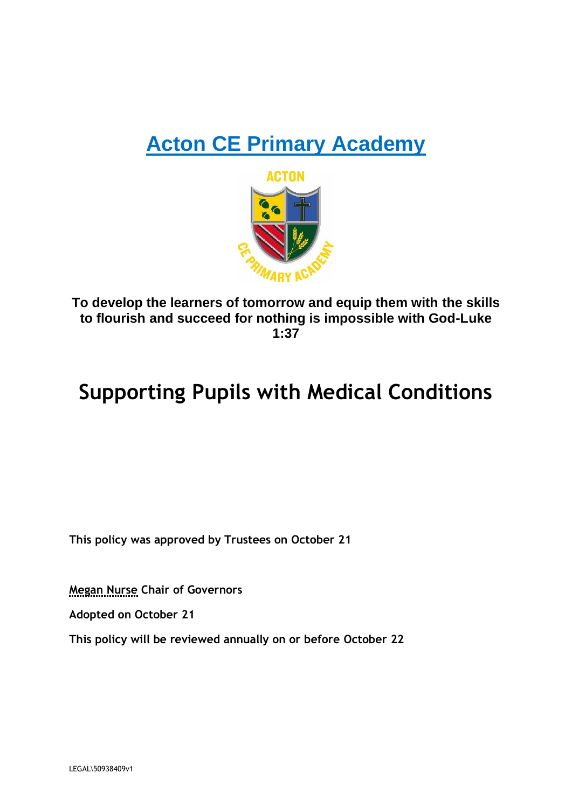## **Acton CE Primary Academy**



**To develop the learners of tomorrow and equip them with the skills to flourish and succeed for nothing is impossible with God-Luke 1:37**

## **Supporting Pupils with Medical Conditions**

**This policy was approved by Trustees on October 21**

**Megan Nurse Chair of Governors**

**Adopted on October 21**

**This policy will be reviewed annually on or before October 22**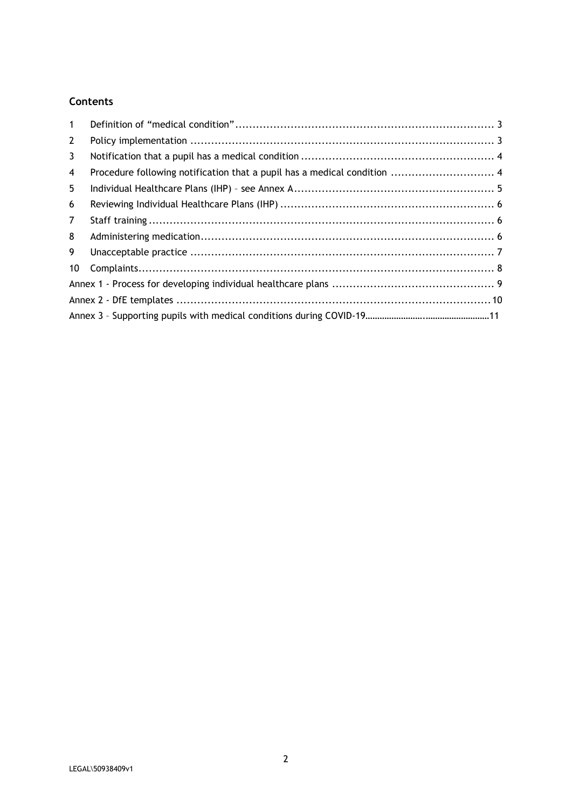## **Contents**

| $\mathbf{1}$   |  |
|----------------|--|
| $\mathbf{2}$   |  |
| 3              |  |
| 4              |  |
| 5              |  |
| 6              |  |
| $\overline{7}$ |  |
| 8              |  |
| 9              |  |
| 10             |  |
|                |  |
|                |  |
|                |  |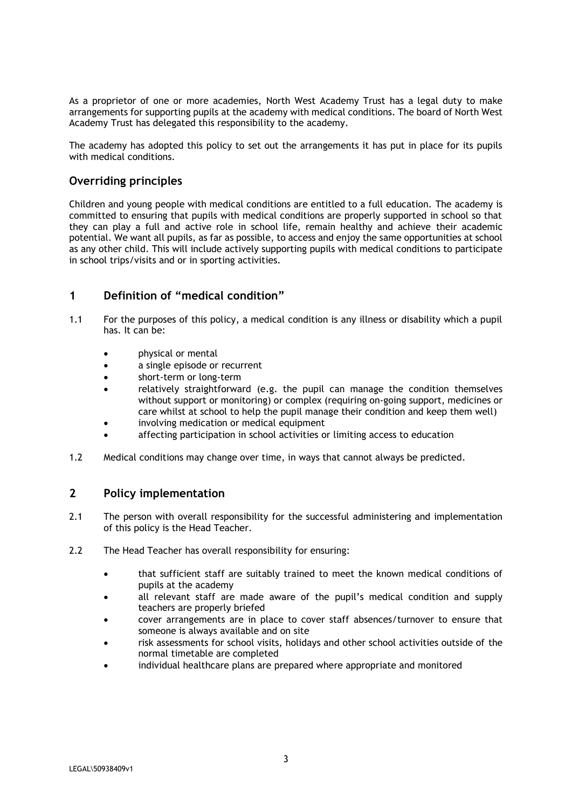As a proprietor of one or more academies, North West Academy Trust has a legal duty to make arrangements for supporting pupils at the academy with medical conditions. The board of North West Academy Trust has delegated this responsibility to the academy.

The academy has adopted this policy to set out the arrangements it has put in place for its pupils with medical conditions.

## **Overriding principles**

Children and young people with medical conditions are entitled to a full education. The academy is committed to ensuring that pupils with medical conditions are properly supported in school so that they can play a full and active role in school life, remain healthy and achieve their academic potential. We want all pupils, as far as possible, to access and enjoy the same opportunities at school as any other child. This will include actively supporting pupils with medical conditions to participate in school trips/visits and or in sporting activities.

#### <span id="page-2-0"></span>**1 Definition of "medical condition"**

- 1.1 For the purposes of this policy, a medical condition is any illness or disability which a pupil has. It can be:
	- physical or mental
	- a single episode or recurrent
	- short-term or long-term
	- relatively straightforward (e.g. the pupil can manage the condition themselves without support or monitoring) or complex (requiring on-going support, medicines or care whilst at school to help the pupil manage their condition and keep them well)
	- involving medication or medical equipment
	- affecting participation in school activities or limiting access to education
- 1.2 Medical conditions may change over time, in ways that cannot always be predicted.

#### <span id="page-2-1"></span>**2 Policy implementation**

- 2.1 The person with overall responsibility for the successful administering and implementation of this policy is the Head Teacher.
- 2.2 The Head Teacher has overall responsibility for ensuring:
	- that sufficient staff are suitably trained to meet the known medical conditions of pupils at the academy
	- all relevant staff are made aware of the pupil's medical condition and supply teachers are properly briefed
	- cover arrangements are in place to cover staff absences/turnover to ensure that someone is always available and on site
	- risk assessments for school visits, holidays and other school activities outside of the normal timetable are completed
	- individual healthcare plans are prepared where appropriate and monitored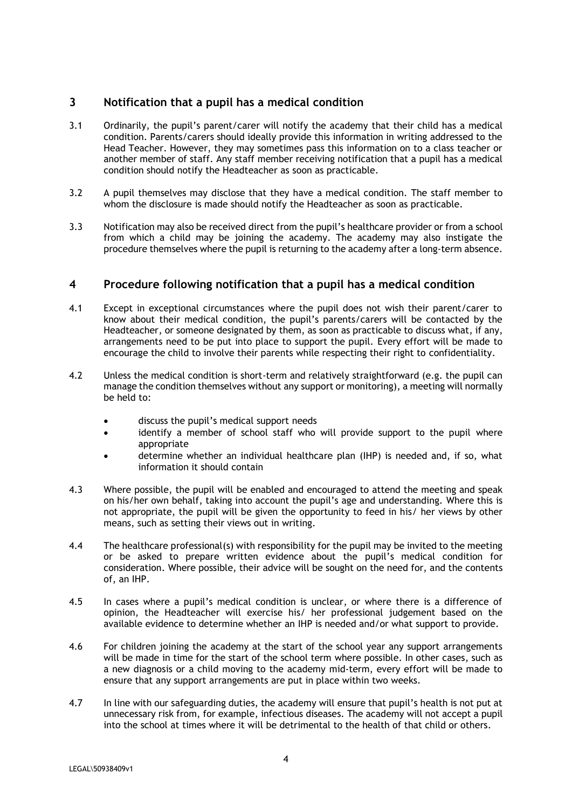#### <span id="page-3-0"></span>**3 Notification that a pupil has a medical condition**

- 3.1 Ordinarily, the pupil's parent/carer will notify the academy that their child has a medical condition. Parents/carers should ideally provide this information in writing addressed to the Head Teacher. However, they may sometimes pass this information on to a class teacher or another member of staff. Any staff member receiving notification that a pupil has a medical condition should notify the Headteacher as soon as practicable.
- 3.2 A pupil themselves may disclose that they have a medical condition. The staff member to whom the disclosure is made should notify the Headteacher as soon as practicable.
- 3.3 Notification may also be received direct from the pupil's healthcare provider or from a school from which a child may be joining the academy. The academy may also instigate the procedure themselves where the pupil is returning to the academy after a long-term absence.

#### <span id="page-3-1"></span>**4 Procedure following notification that a pupil has a medical condition**

- 4.1 Except in exceptional circumstances where the pupil does not wish their parent/carer to know about their medical condition, the pupil's parents/carers will be contacted by the Headteacher, or someone designated by them, as soon as practicable to discuss what, if any, arrangements need to be put into place to support the pupil. Every effort will be made to encourage the child to involve their parents while respecting their right to confidentiality.
- 4.2 Unless the medical condition is short-term and relatively straightforward (e.g. the pupil can manage the condition themselves without any support or monitoring), a meeting will normally be held to:
	- discuss the pupil's medical support needs
	- identify a member of school staff who will provide support to the pupil where appropriate
	- determine whether an individual healthcare plan (IHP) is needed and, if so, what information it should contain
- 4.3 Where possible, the pupil will be enabled and encouraged to attend the meeting and speak on his/her own behalf, taking into account the pupil's age and understanding. Where this is not appropriate, the pupil will be given the opportunity to feed in his/ her views by other means, such as setting their views out in writing.
- 4.4 The healthcare professional(s) with responsibility for the pupil may be invited to the meeting or be asked to prepare written evidence about the pupil's medical condition for consideration. Where possible, their advice will be sought on the need for, and the contents of, an IHP.
- 4.5 In cases where a pupil's medical condition is unclear, or where there is a difference of opinion, the Headteacher will exercise his/ her professional judgement based on the available evidence to determine whether an IHP is needed and/or what support to provide.
- 4.6 For children joining the academy at the start of the school year any support arrangements will be made in time for the start of the school term where possible. In other cases, such as a new diagnosis or a child moving to the academy mid-term, every effort will be made to ensure that any support arrangements are put in place within two weeks.
- 4.7 In line with our safeguarding duties, the academy will ensure that pupil's health is not put at unnecessary risk from, for example, infectious diseases. The academy will not accept a pupil into the school at times where it will be detrimental to the health of that child or others.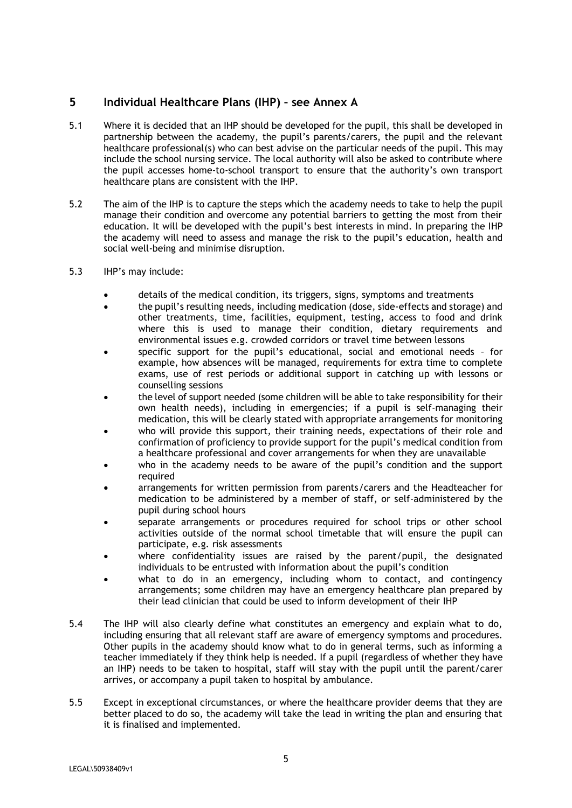#### <span id="page-4-0"></span>**5 Individual Healthcare Plans (IHP) – see Annex A**

- 5.1 Where it is decided that an IHP should be developed for the pupil, this shall be developed in partnership between the academy, the pupil's parents/carers, the pupil and the relevant healthcare professional(s) who can best advise on the particular needs of the pupil. This may include the school nursing service. The local authority will also be asked to contribute where the pupil accesses home-to-school transport to ensure that the authority's own transport healthcare plans are consistent with the IHP.
- 5.2 The aim of the IHP is to capture the steps which the academy needs to take to help the pupil manage their condition and overcome any potential barriers to getting the most from their education. It will be developed with the pupil's best interests in mind. In preparing the IHP the academy will need to assess and manage the risk to the pupil's education, health and social well-being and minimise disruption.
- 5.3 IHP's may include:
	- details of the medical condition, its triggers, signs, symptoms and treatments
	- the pupil's resulting needs, including medication (dose, side-effects and storage) and other treatments, time, facilities, equipment, testing, access to food and drink where this is used to manage their condition, dietary requirements and environmental issues e.g. crowded corridors or travel time between lessons
	- specific support for the pupil's educational, social and emotional needs for example, how absences will be managed, requirements for extra time to complete exams, use of rest periods or additional support in catching up with lessons or counselling sessions
	- the level of support needed (some children will be able to take responsibility for their own health needs), including in emergencies; if a pupil is self-managing their medication, this will be clearly stated with appropriate arrangements for monitoring
	- who will provide this support, their training needs, expectations of their role and confirmation of proficiency to provide support for the pupil's medical condition from a healthcare professional and cover arrangements for when they are unavailable
	- who in the academy needs to be aware of the pupil's condition and the support required
	- arrangements for written permission from parents/carers and the Headteacher for medication to be administered by a member of staff, or self-administered by the pupil during school hours
	- separate arrangements or procedures required for school trips or other school activities outside of the normal school timetable that will ensure the pupil can participate, e.g. risk assessments
	- where confidentiality issues are raised by the parent/pupil, the designated individuals to be entrusted with information about the pupil's condition
	- what to do in an emergency, including whom to contact, and contingency arrangements; some children may have an emergency healthcare plan prepared by their lead clinician that could be used to inform development of their IHP
- 5.4 The IHP will also clearly define what constitutes an emergency and explain what to do, including ensuring that all relevant staff are aware of emergency symptoms and procedures. Other pupils in the academy should know what to do in general terms, such as informing a teacher immediately if they think help is needed. If a pupil (regardless of whether they have an IHP) needs to be taken to hospital, staff will stay with the pupil until the parent/carer arrives, or accompany a pupil taken to hospital by ambulance.
- 5.5 Except in exceptional circumstances, or where the healthcare provider deems that they are better placed to do so, the academy will take the lead in writing the plan and ensuring that it is finalised and implemented.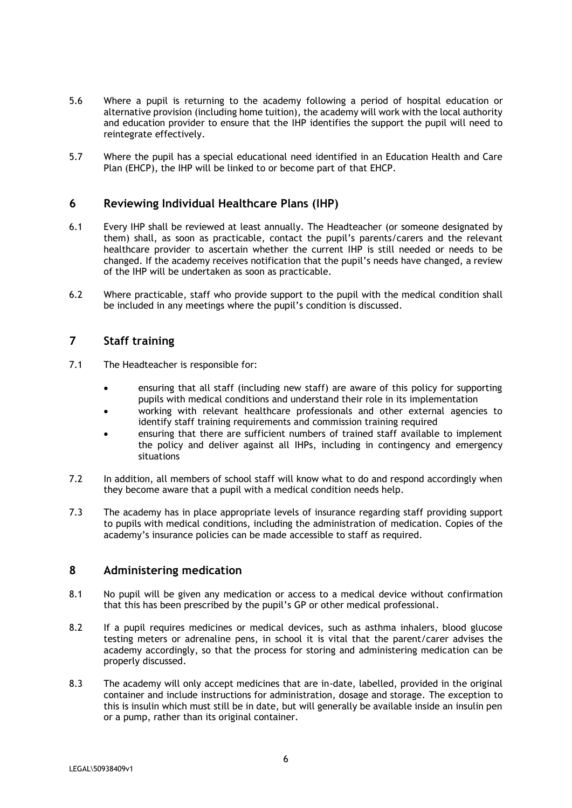- 5.6 Where a pupil is returning to the academy following a period of hospital education or alternative provision (including home tuition), the academy will work with the local authority and education provider to ensure that the IHP identifies the support the pupil will need to reintegrate effectively.
- 5.7 Where the pupil has a special educational need identified in an Education Health and Care Plan (EHCP), the IHP will be linked to or become part of that EHCP.

#### <span id="page-5-0"></span>**6 Reviewing Individual Healthcare Plans (IHP)**

- 6.1 Every IHP shall be reviewed at least annually. The Headteacher (or someone designated by them) shall, as soon as practicable, contact the pupil's parents/carers and the relevant healthcare provider to ascertain whether the current IHP is still needed or needs to be changed. If the academy receives notification that the pupil's needs have changed, a review of the IHP will be undertaken as soon as practicable.
- 6.2 Where practicable, staff who provide support to the pupil with the medical condition shall be included in any meetings where the pupil's condition is discussed.

#### <span id="page-5-1"></span>**7 Staff training**

- 7.1 The Headteacher is responsible for:
	- ensuring that all staff (including new staff) are aware of this policy for supporting pupils with medical conditions and understand their role in its implementation
	- working with relevant healthcare professionals and other external agencies to identify staff training requirements and commission training required
	- ensuring that there are sufficient numbers of trained staff available to implement the policy and deliver against all IHPs, including in contingency and emergency situations
- 7.2 In addition, all members of school staff will know what to do and respond accordingly when they become aware that a pupil with a medical condition needs help.
- 7.3 The academy has in place appropriate levels of insurance regarding staff providing support to pupils with medical conditions, including the administration of medication. Copies of the academy's insurance policies can be made accessible to staff as required.

#### <span id="page-5-2"></span>**8 Administering medication**

- 8.1 No pupil will be given any medication or access to a medical device without confirmation that this has been prescribed by the pupil's GP or other medical professional.
- 8.2 If a pupil requires medicines or medical devices, such as asthma inhalers, blood glucose testing meters or adrenaline pens, in school it is vital that the parent/carer advises the academy accordingly, so that the process for storing and administering medication can be properly discussed.
- 8.3 The academy will only accept medicines that are in-date, labelled, provided in the original container and include instructions for administration, dosage and storage. The exception to this is insulin which must still be in date, but will generally be available inside an insulin pen or a pump, rather than its original container.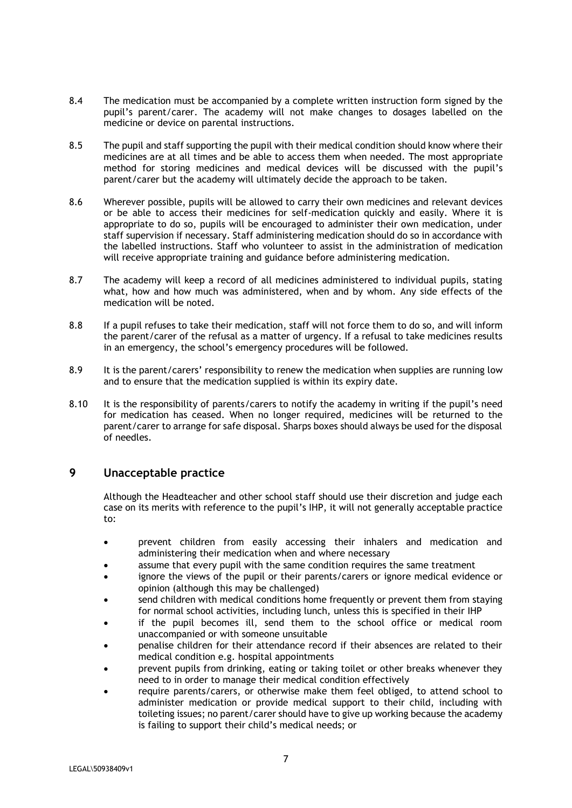- 8.4 The medication must be accompanied by a complete written instruction form signed by the pupil's parent/carer. The academy will not make changes to dosages labelled on the medicine or device on parental instructions.
- 8.5 The pupil and staff supporting the pupil with their medical condition should know where their medicines are at all times and be able to access them when needed. The most appropriate method for storing medicines and medical devices will be discussed with the pupil's parent/carer but the academy will ultimately decide the approach to be taken.
- 8.6 Wherever possible, pupils will be allowed to carry their own medicines and relevant devices or be able to access their medicines for self-medication quickly and easily. Where it is appropriate to do so, pupils will be encouraged to administer their own medication, under staff supervision if necessary. Staff administering medication should do so in accordance with the labelled instructions. Staff who volunteer to assist in the administration of medication will receive appropriate training and guidance before administering medication.
- 8.7 The academy will keep a record of all medicines administered to individual pupils, stating what, how and how much was administered, when and by whom. Any side effects of the medication will be noted.
- 8.8 If a pupil refuses to take their medication, staff will not force them to do so, and will inform the parent/carer of the refusal as a matter of urgency. If a refusal to take medicines results in an emergency, the school's emergency procedures will be followed.
- 8.9 It is the parent/carers' responsibility to renew the medication when supplies are running low and to ensure that the medication supplied is within its expiry date.
- 8.10 It is the responsibility of parents/carers to notify the academy in writing if the pupil's need for medication has ceased. When no longer required, medicines will be returned to the parent/carer to arrange for safe disposal. Sharps boxes should always be used for the disposal of needles.

#### <span id="page-6-0"></span>**9 Unacceptable practice**

Although the Headteacher and other school staff should use their discretion and judge each case on its merits with reference to the pupil's IHP, it will not generally acceptable practice to:

- prevent children from easily accessing their inhalers and medication and administering their medication when and where necessary
- assume that every pupil with the same condition requires the same treatment
- ignore the views of the pupil or their parents/carers or ignore medical evidence or opinion (although this may be challenged)
- send children with medical conditions home frequently or prevent them from staying for normal school activities, including lunch, unless this is specified in their IHP
- if the pupil becomes ill, send them to the school office or medical room unaccompanied or with someone unsuitable
- penalise children for their attendance record if their absences are related to their medical condition e.g. hospital appointments
- prevent pupils from drinking, eating or taking toilet or other breaks whenever they need to in order to manage their medical condition effectively
- require parents/carers, or otherwise make them feel obliged, to attend school to administer medication or provide medical support to their child, including with toileting issues; no parent/carer should have to give up working because the academy is failing to support their child's medical needs; or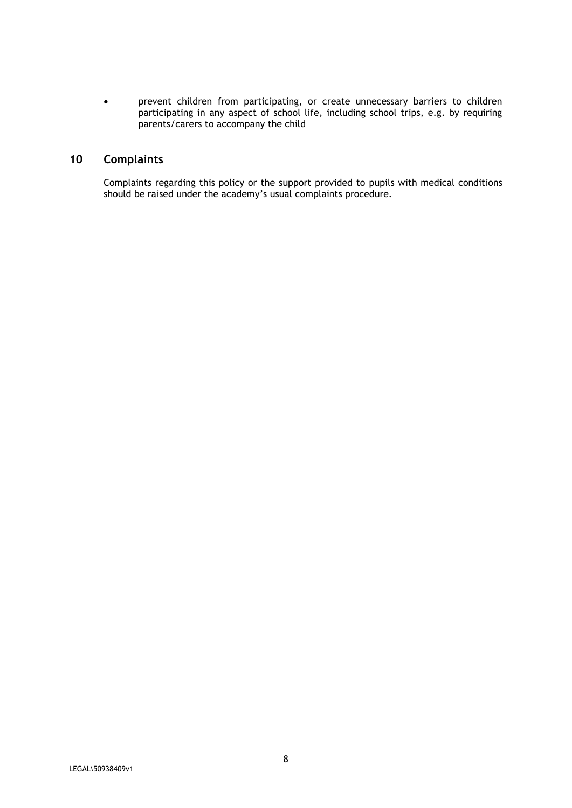• prevent children from participating, or create unnecessary barriers to children participating in any aspect of school life, including school trips, e.g. by requiring parents/carers to accompany the child

## <span id="page-7-0"></span>**10 Complaints**

Complaints regarding this policy or the support provided to pupils with medical conditions should be raised under the academy's usual complaints procedure.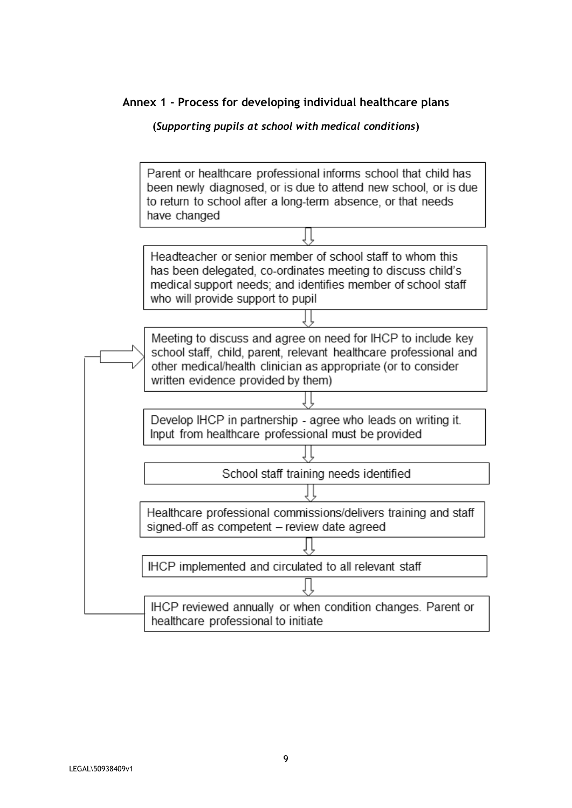**Annex 1 - Process for developing individual healthcare plans**

<span id="page-8-0"></span>

Parent or healthcare professional informs school that child has been newly diagnosed, or is due to attend new school, or is due to return to school after a long-term absence, or that needs have changed Headteacher or senior member of school staff to whom this has been delegated, co-ordinates meeting to discuss child's medical support needs; and identifies member of school staff who will provide support to pupil Meeting to discuss and agree on need for IHCP to include key school staff, child, parent, relevant healthcare professional and other medical/health clinician as appropriate (or to consider written evidence provided by them) Develop IHCP in partnership - agree who leads on writing it. Input from healthcare professional must be provided School staff training needs identified Healthcare professional commissions/delivers training and staff signed-off as competent - review date agreed IHCP implemented and circulated to all relevant staff

> IHCP reviewed annually or when condition changes. Parent or healthcare professional to initiate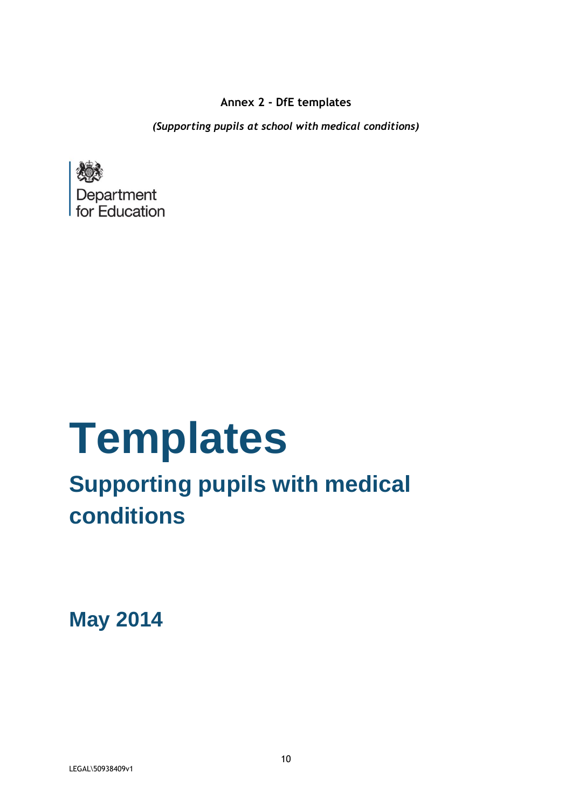<span id="page-9-0"></span>**Annex 2 - DfE templates**

*(Supporting pupils at school with medical conditions)*



# **Templates**

## **Supporting pupils with medical conditions**

**May 2014**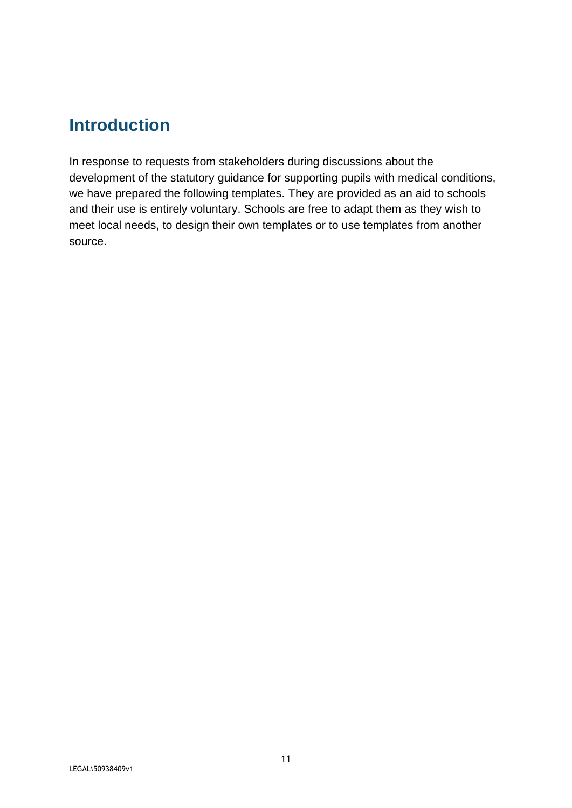## **Introduction**

In response to requests from stakeholders during discussions about the development of the statutory guidance for supporting pupils with medical conditions, we have prepared the following templates. They are provided as an aid to schools and their use is entirely voluntary. Schools are free to adapt them as they wish to meet local needs, to design their own templates or to use templates from another source.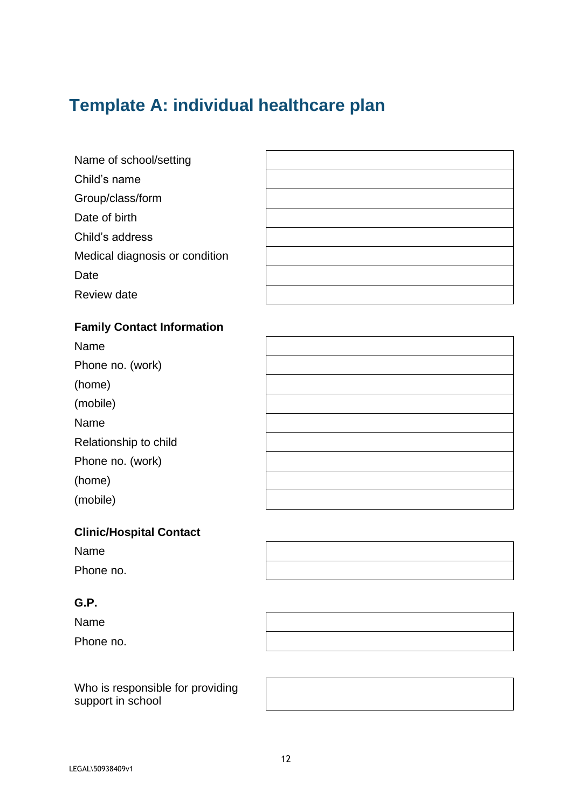## **Template A: individual healthcare plan**

- Name of school/setting
- Child's name
- Group/class/form
- Date of birth
- Child's address
- Medical diagnosis or condition
- Date
- Review date

## **Family Contact Information**

Name Phone no. (work) (home) (mobile) Name Relationship to child Phone no. (work) (home) (mobile)

## **Clinic/Hospital Contact**

| Name |
|------|
|------|

Phone no.

## **G.P.**

Name

Phone no.

Who is responsible for providing support in school



LEGAL\50938409v1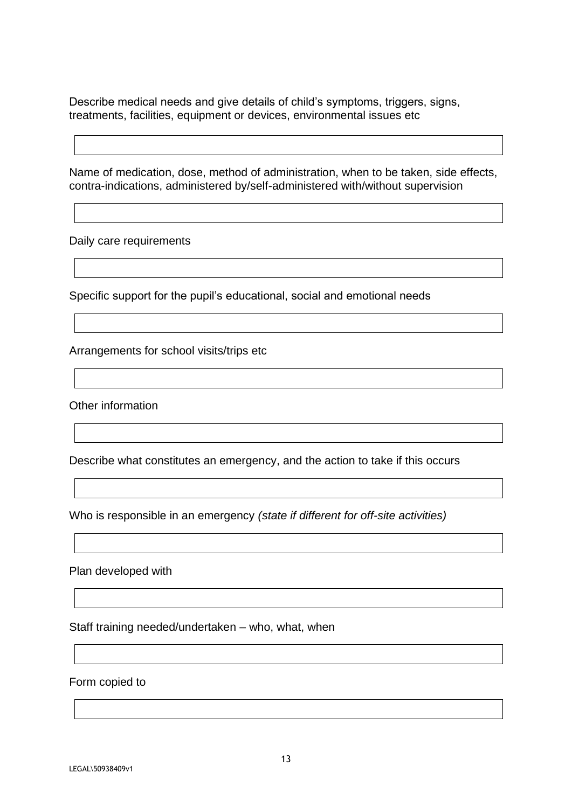Describe medical needs and give details of child's symptoms, triggers, signs, treatments, facilities, equipment or devices, environmental issues etc

Name of medication, dose, method of administration, when to be taken, side effects, contra-indications, administered by/self-administered with/without supervision

Daily care requirements

Specific support for the pupil's educational, social and emotional needs

Arrangements for school visits/trips etc

Other information

Describe what constitutes an emergency, and the action to take if this occurs

Who is responsible in an emergency *(state if different for off-site activities)*

Plan developed with

Staff training needed/undertaken – who, what, when

Form copied to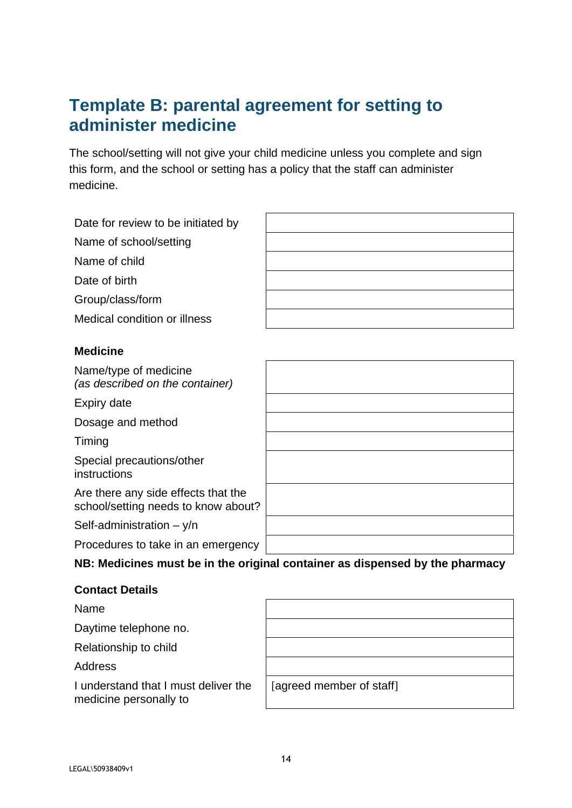## **Template B: parental agreement for setting to administer medicine**

The school/setting will not give your child medicine unless you complete and sign this form, and the school or setting has a policy that the staff can administer medicine.

| Date for review to be initiated by                                         |                                                                              |
|----------------------------------------------------------------------------|------------------------------------------------------------------------------|
| Name of school/setting                                                     |                                                                              |
| Name of child                                                              |                                                                              |
| Date of birth                                                              |                                                                              |
| Group/class/form                                                           |                                                                              |
| Medical condition or illness                                               |                                                                              |
| <b>Medicine</b>                                                            |                                                                              |
| Name/type of medicine<br>(as described on the container)                   |                                                                              |
| Expiry date                                                                |                                                                              |
| Dosage and method                                                          |                                                                              |
| Timing                                                                     |                                                                              |
| Special precautions/other<br>instructions                                  |                                                                              |
| Are there any side effects that the<br>school/setting needs to know about? |                                                                              |
| Self-administration $-$ y/n                                                |                                                                              |
| Procedures to take in an emergency                                         |                                                                              |
|                                                                            | NB: Medicines must be in the original container as dispensed by the pharmacy |
|                                                                            |                                                                              |

## **Contact Details**

Name Daytime telephone no.

Relationship to child

Address

I understand that I must deliver the medicine personally to

[agreed member of staff]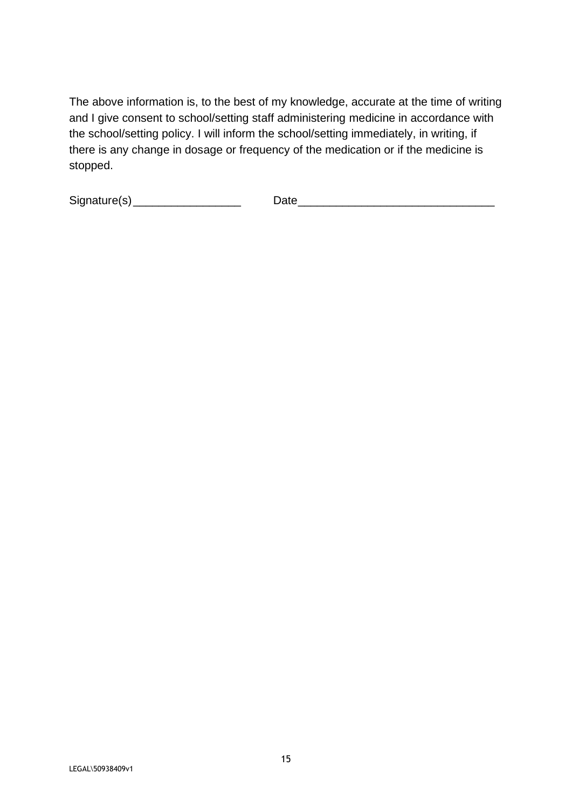The above information is, to the best of my knowledge, accurate at the time of writing and I give consent to school/setting staff administering medicine in accordance with the school/setting policy. I will inform the school/setting immediately, in writing, if there is any change in dosage or frequency of the medication or if the medicine is stopped.

| Signature(s) |  |
|--------------|--|
|--------------|--|

Signature(s)\_\_\_\_\_\_\_\_\_\_\_\_\_\_\_\_\_ Date\_\_\_\_\_\_\_\_\_\_\_\_\_\_\_\_\_\_\_\_\_\_\_\_\_\_\_\_\_\_\_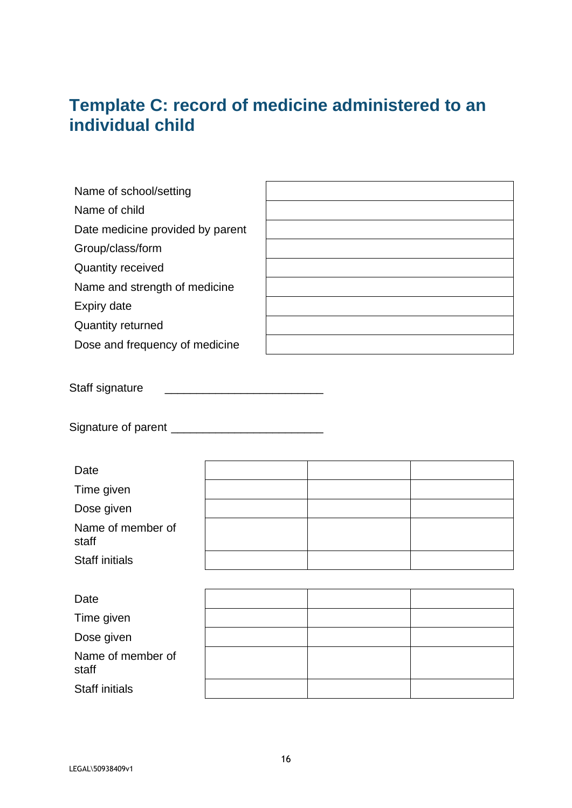## **Template C: record of medicine administered to an individual child**

| Name of school/setting           |  |
|----------------------------------|--|
| Name of child                    |  |
| Date medicine provided by parent |  |
| Group/class/form                 |  |
| <b>Quantity received</b>         |  |
| Name and strength of medicine    |  |
| Expiry date                      |  |
| <b>Quantity returned</b>         |  |
| Dose and frequency of medicine   |  |
|                                  |  |

Staff signature \_\_\_\_\_\_\_\_\_\_\_\_\_\_\_\_\_\_\_\_\_\_\_\_\_

Signature of parent \_\_\_\_\_\_\_\_\_\_\_\_\_\_\_\_\_\_\_\_\_\_\_\_

| Date                       |  |  |
|----------------------------|--|--|
| Time given                 |  |  |
| Dose given                 |  |  |
| Name of member of<br>staff |  |  |
| <b>Staff initials</b>      |  |  |
|                            |  |  |
| Date                       |  |  |
| Time given                 |  |  |
| Dose given                 |  |  |
| Name of member of<br>staff |  |  |
| <b>Staff initials</b>      |  |  |
|                            |  |  |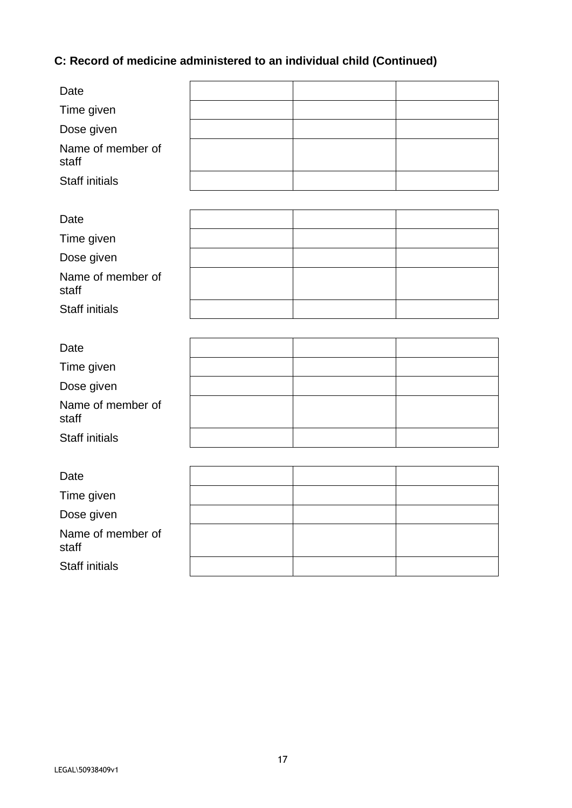## **C: Record of medicine administered to an individual child (Continued)**

| Date                       |  |  |
|----------------------------|--|--|
| Time given                 |  |  |
| Dose given                 |  |  |
| Name of member of<br>staff |  |  |
| <b>Staff initials</b>      |  |  |
|                            |  |  |
| Date                       |  |  |
| Time given                 |  |  |
| Dose given                 |  |  |
| Name of member of<br>staff |  |  |
| <b>Staff initials</b>      |  |  |
|                            |  |  |
| Date                       |  |  |
| Time given                 |  |  |
| Dose given                 |  |  |
| Name of member of<br>staff |  |  |
| <b>Staff initials</b>      |  |  |
|                            |  |  |
| Date                       |  |  |
| Time given                 |  |  |
| Dose given                 |  |  |
| Name of member of<br>staff |  |  |
| <b>Staff initials</b>      |  |  |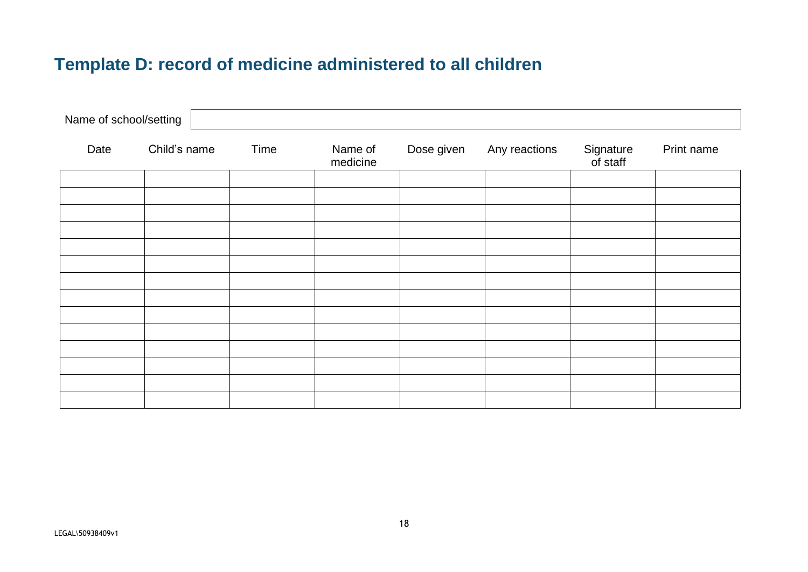## **Template D: record of medicine administered to all children**

| Name of school/setting |              |      |                     |            |               |                       |            |
|------------------------|--------------|------|---------------------|------------|---------------|-----------------------|------------|
| Date                   | Child's name | Time | Name of<br>medicine | Dose given | Any reactions | Signature<br>of staff | Print name |
|                        |              |      |                     |            |               |                       |            |
|                        |              |      |                     |            |               |                       |            |
|                        |              |      |                     |            |               |                       |            |
|                        |              |      |                     |            |               |                       |            |
|                        |              |      |                     |            |               |                       |            |
|                        |              |      |                     |            |               |                       |            |
|                        |              |      |                     |            |               |                       |            |
|                        |              |      |                     |            |               |                       |            |
|                        |              |      |                     |            |               |                       |            |
|                        |              |      |                     |            |               |                       |            |
|                        |              |      |                     |            |               |                       |            |
|                        |              |      |                     |            |               |                       |            |
|                        |              |      |                     |            |               |                       |            |
|                        |              |      |                     |            |               |                       |            |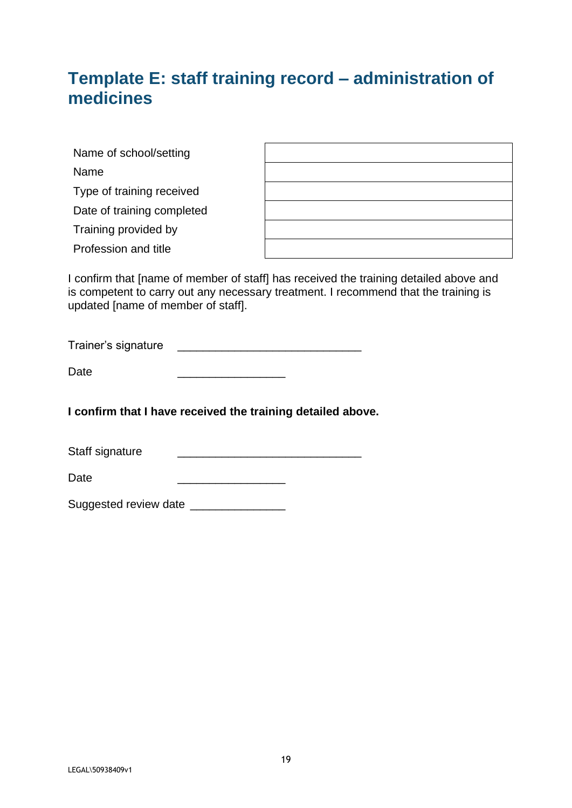## **Template E: staff training record – administration of medicines**

| Name of school/setting     |  |
|----------------------------|--|
| Name                       |  |
| Type of training received  |  |
| Date of training completed |  |
| Training provided by       |  |
| Profession and title       |  |

I confirm that [name of member of staff] has received the training detailed above and is competent to carry out any necessary treatment. I recommend that the training is updated [name of member of staff].

| Trainer's signature |  |
|---------------------|--|
|                     |  |

| Date |  |
|------|--|
|------|--|

**I confirm that I have received the training detailed above.**

| Staff signature |  |
|-----------------|--|
|-----------------|--|

| Date |  |
|------|--|
|      |  |

Suggested review date \_\_\_\_\_\_\_\_\_\_\_\_\_\_\_\_\_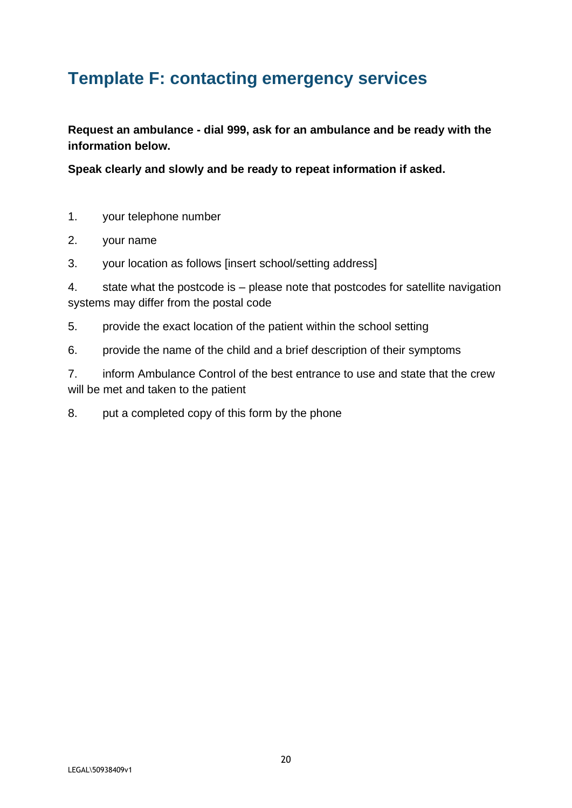## **Template F: contacting emergency services**

**Request an ambulance - dial 999, ask for an ambulance and be ready with the information below.**

**Speak clearly and slowly and be ready to repeat information if asked.**

- 1. your telephone number
- 2. your name
- 3. your location as follows [insert school/setting address]

4. state what the postcode is – please note that postcodes for satellite navigation systems may differ from the postal code

- 5. provide the exact location of the patient within the school setting
- 6. provide the name of the child and a brief description of their symptoms

7. inform Ambulance Control of the best entrance to use and state that the crew will be met and taken to the patient

8. put a completed copy of this form by the phone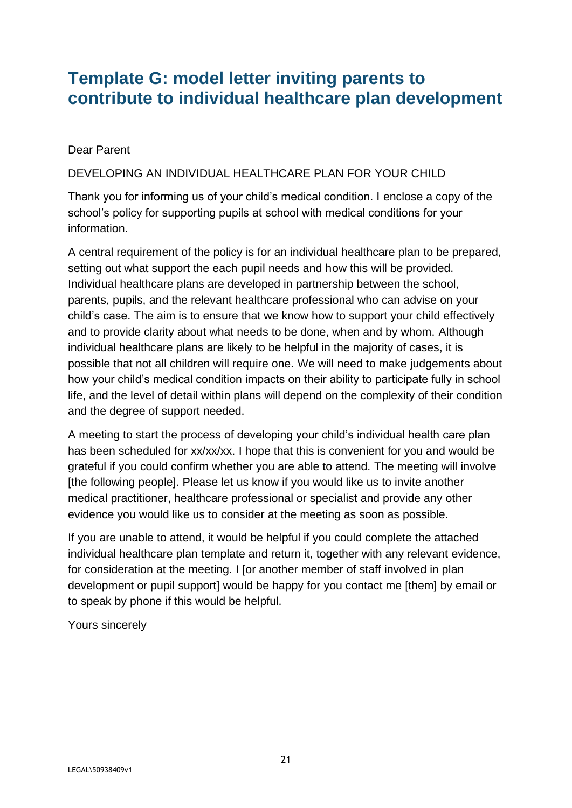## **Template G: model letter inviting parents to contribute to individual healthcare plan development**

Dear Parent

DEVELOPING AN INDIVIDUAL HEALTHCARE PLAN FOR YOUR CHILD

Thank you for informing us of your child's medical condition. I enclose a copy of the school's policy for supporting pupils at school with medical conditions for your information.

A central requirement of the policy is for an individual healthcare plan to be prepared, setting out what support the each pupil needs and how this will be provided. Individual healthcare plans are developed in partnership between the school, parents, pupils, and the relevant healthcare professional who can advise on your child's case. The aim is to ensure that we know how to support your child effectively and to provide clarity about what needs to be done, when and by whom. Although individual healthcare plans are likely to be helpful in the majority of cases, it is possible that not all children will require one. We will need to make judgements about how your child's medical condition impacts on their ability to participate fully in school life, and the level of detail within plans will depend on the complexity of their condition and the degree of support needed.

A meeting to start the process of developing your child's individual health care plan has been scheduled for xx/xx/xx. I hope that this is convenient for you and would be grateful if you could confirm whether you are able to attend. The meeting will involve [the following people]. Please let us know if you would like us to invite another medical practitioner, healthcare professional or specialist and provide any other evidence you would like us to consider at the meeting as soon as possible.

If you are unable to attend, it would be helpful if you could complete the attached individual healthcare plan template and return it, together with any relevant evidence, for consideration at the meeting. I [or another member of staff involved in plan development or pupil support] would be happy for you contact me [them] by email or to speak by phone if this would be helpful.

Yours sincerely